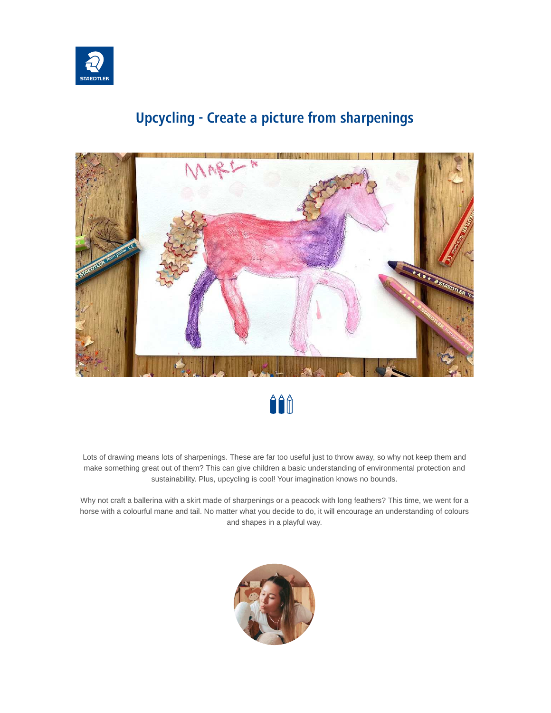

#### **Upcycling - Create a picture from sharpenings**





Lots of drawing means lots of sharpenings. These are far too useful just to throw away, so why not keep them and make something great out of them? This can give children a basic understanding of environmental protection and sustainability. Plus, upcycling is cool! Your imagination knows no bounds.

Why not craft a ballerina with a skirt made of sharpenings or a peacock with long feathers? This time, we went for a horse with a colourful mane and tail. No matter what you decide to do, it will encourage an understanding of colours and shapes in a playful way.

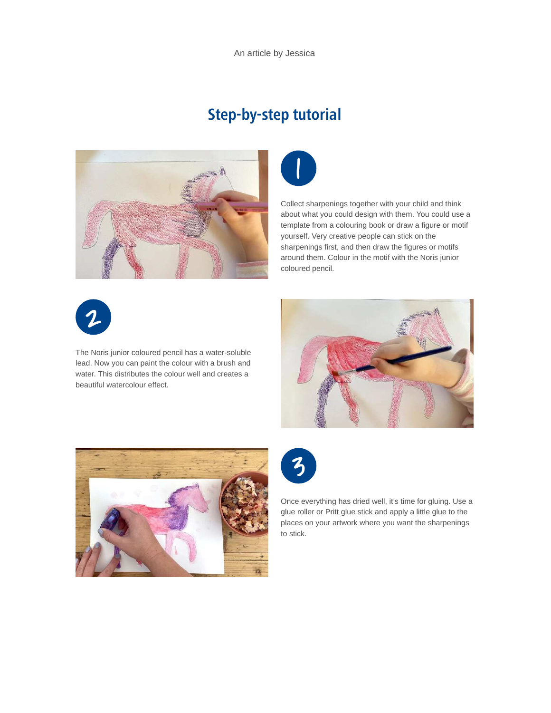An article by Jessica

### **Step-by-step tutorial**





Collect sharpenings together with your child and think about what you could design with them. You could use a template from a colouring book or draw a figure or motif yourself. Very creative people can stick on the sharpenings first, and then draw the figures or motifs around them. Colour in the motif with the Noris junior coloured pencil.



The Noris junior coloured pencil has a water-soluble lead. Now you can paint the colour with a brush and water. This distributes the colour well and creates a beautiful watercolour effect.







Once everything has dried well, it's time for gluing. Use a glue roller or Pritt glue stick and apply a little glue to the places on your artwork where you want the sharpenings to stick.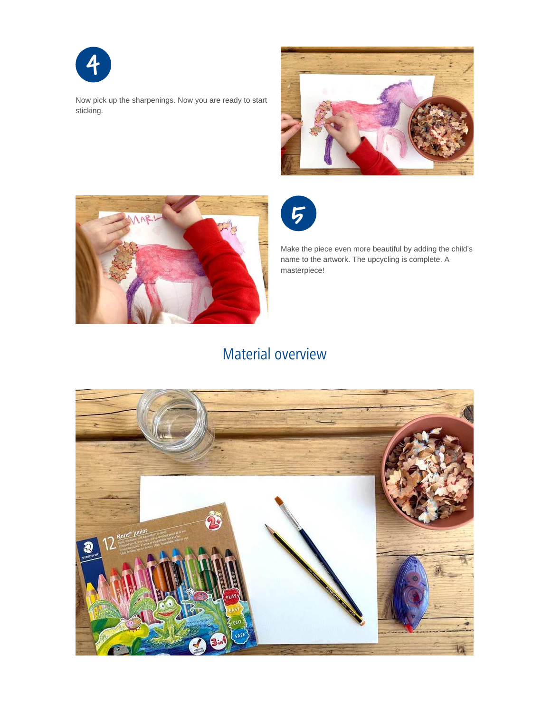

Now pick up the sharpenings. Now you are ready to start sticking.







Make the piece even more beautiful by adding the child's name to the artwork. The upcycling is complete. A masterpiece!

# Material overview